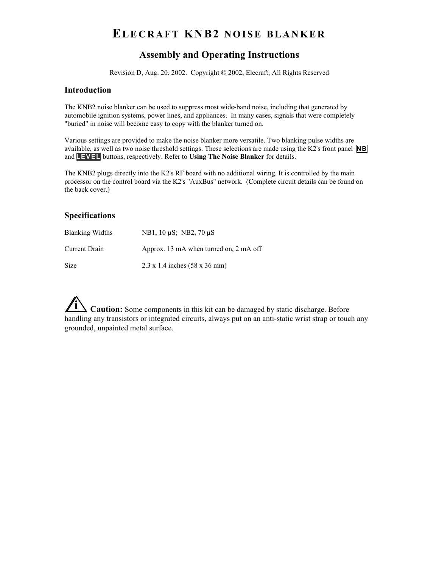# **ELECRAFT KNB2 NOISE BLANKER**

# **Assembly and Operating Instructions**

Revision D, Aug. 20, 2002. Copyright © 2002, Elecraft; All Rights Reserved

#### **Introduction**

The KNB2 noise blanker can be used to suppress most wide-band noise, including that generated by automobile ignition systems, power lines, and appliances. In many cases, signals that were completely "buried" in noise will become easy to copy with the blanker turned on.

Various settings are provided to make the noise blanker more versatile. Two blanking pulse widths are available, as well as two noise threshold settings. These selections are made using the K2's front panel **NB** and **L E V E L** buttons, respectively. Refer to **Using The Noise Blanker** for details.

The KNB2 plugs directly into the K2's RF board with no additional wiring. It is controlled by the main processor on the control board via the K2's "AuxBus" network. (Complete circuit details can be found on the back cover.)

### **Specifications**

| <b>Blanking Widths</b> | NB1, 10 uS; NB2, 70 uS                              |
|------------------------|-----------------------------------------------------|
| Current Drain          | Approx. 13 mA when turned on, 2 mA off              |
| Size                   | $2.3 \times 1.4$ inches $(58 \times 36 \text{ mm})$ |

**i Caution:** Some components in this kit can be damaged by static discharge. Before handling any transistors or integrated circuits, always put on an anti-static wrist strap or touch any grounded, unpainted metal surface.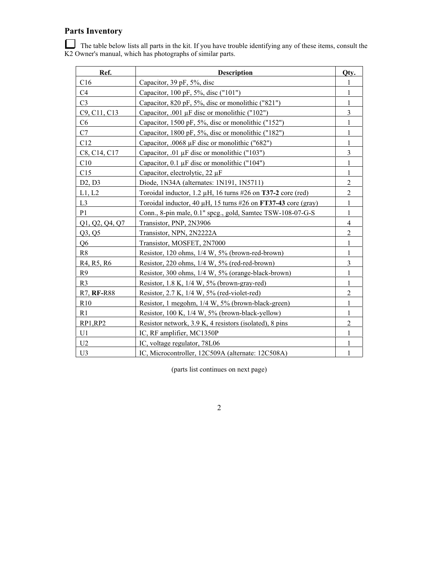# **Parts Inventory**

 The table below lists all parts in the kit. If you have trouble identifying any of these items, consult the K2 Owner's manual, which has photographs of similar parts.

| Ref.                                             | <b>Description</b>                                                        | Qty.           |
|--------------------------------------------------|---------------------------------------------------------------------------|----------------|
| C16                                              | Capacitor, $39$ pF, $5\%$ , disc                                          |                |
| C <sub>4</sub>                                   | Capacitor, 100 pF, 5%, disc ("101")                                       | 1              |
| C <sub>3</sub>                                   | Capacitor, 820 pF, 5%, disc or monolithic ("821")                         |                |
| C9, C11, C13                                     | Capacitor, .001 $\mu$ F disc or monolithic ("102")                        | 3              |
| C <sub>6</sub>                                   | Capacitor, 1500 pF, 5%, disc or monolithic ("152")                        | 1              |
| C7                                               | Capacitor, 1800 pF, 5%, disc or monolithic ("182")                        |                |
| C12                                              | Capacitor, .0068 µF disc or monolithic ("682")                            | 1              |
| C8, C14, C17                                     | Capacitor, .01 $\mu$ F disc or monolithic ("103")                         | 3              |
| C10                                              | Capacitor, $0.1 \mu$ F disc or monolithic ("104")                         |                |
| C15                                              | Capacitor, electrolytic, $22 \mu F$                                       | 1              |
| D2, D3                                           | Diode, 1N34A (alternates: 1N191, 1N5711)                                  | $\overline{c}$ |
| L1, L2                                           | Toroidal inductor, 1.2 $\mu$ H, 16 turns #26 on <b>T37-2</b> core (red)   | $\overline{2}$ |
| L <sub>3</sub>                                   | Toroidal inductor, 40 $\mu$ H, 15 turns #26 on <b>FT37-43</b> core (gray) | 1              |
| P <sub>1</sub>                                   | Conn., 8-pin male, 0.1" spcg., gold, Samtec TSW-108-07-G-S                | 1              |
| Q1, Q2, Q4, Q7                                   | Transistor, PNP, 2N3906                                                   | $\overline{4}$ |
| Q3, Q5                                           | Transistor, NPN, 2N2222A                                                  | $\overline{2}$ |
| Q <sub>6</sub>                                   | Transistor, MOSFET, 2N7000                                                | 1              |
| R8                                               | Resistor, 120 ohms, 1/4 W, 5% (brown-red-brown)                           | 1              |
| R <sub>4</sub> , R <sub>5</sub> , R <sub>6</sub> | Resistor, 220 ohms, 1/4 W, 5% (red-red-brown)                             | $\overline{3}$ |
| R9                                               | Resistor, 300 ohms, 1/4 W, 5% (orange-black-brown)                        | 1              |
| R <sub>3</sub>                                   | Resistor, $1.8 K$ , $1/4 W$ , $5\%$ (brown-gray-red)                      | 1              |
| <b>R7. RF-R88</b>                                | Resistor, $2.7 K$ , $1/4 W$ , $5%$ (red-violet-red)                       | $\overline{2}$ |
| R10                                              | Resistor, 1 megohm, 1/4 W, 5% (brown-black-green)                         | 1              |
| R <sub>1</sub>                                   | Resistor, 100 K, 1/4 W, 5% (brown-black-yellow)                           | 1              |
| RP1,RP2                                          | Resistor network, 3.9 K, 4 resistors (isolated), 8 pins                   | $\overline{2}$ |
| U1                                               | IC, RF amplifier, MC1350P                                                 |                |
| U <sub>2</sub>                                   | IC, voltage regulator, 78L06                                              |                |
| U3                                               | IC, Microcontroller, 12C509A (alternate: 12C508A)                         | 1              |

(parts list continues on next page)

2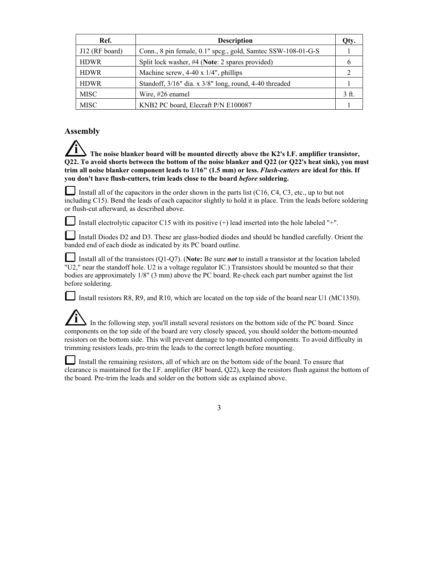| Ref.             | <b>Description</b>                                           | Otv.           |
|------------------|--------------------------------------------------------------|----------------|
| $J12$ (RF board) | Conn., 8 pin female, 0.1" spcg., gold, Samtec SSW-108-01-G-S |                |
| <b>HDWR</b>      | Split lock washer, #4 (Note: 2 spares provided)              |                |
| <b>HDWR</b>      | Machine screw, $4-40 \times 1/4$ ", phillips                 |                |
| <b>HDWR</b>      | Standoff, 3/16" dia. x 3/8" long, round, 4-40 threaded       |                |
| <b>MISC</b>      | Wire, #26 enamel                                             | 3 <sub>f</sub> |
| <b>MISC</b>      | KNB2 PC board, Elecraft P/N E100087                          |                |

#### **Assembly**

**i The noise blanker board will be mounted directly above the K2's I.F. amplifier transistor, Q22. To avoid shorts between the bottom of the noise blanker and Q22 (or Q22's heat sink), you must trim all noise blanker component leads to 1/16" (1.5 mm) or less.** *Flush-cutters* **are ideal for this. If you don't have flush-cutters, trim leads close to the board** *before* **soldering.**

Install all of the capacitors in the order shown in the parts list  $(C16, C4, C3, etc.,$  up to but not including C15). Bend the leads of each capacitor slightly to hold it in place. Trim the leads before soldering or flush-cut afterward, as described above.

Install electrolytic capacitor C15 with its positive  $(+)$  lead inserted into the hole labeled "+".

Install Diodes D2 and D3. These are glass-bodied diodes and should be handled carefully. Orient the banded end of each diode as indicated by its PC board outline.

Install all of the transistors (Q1-Q7). (**Note:** Be sure *not* to install a transistor at the location labeled "U2," near the standoff hole. U2 is a voltage regulator IC.) Transistors should be mounted so that their bodies are approximately 1/8" (3 mm) above the PC board. Re-check each part number against the list before soldering.

Install resistors R8, R9, and R10, which are located on the top side of the board near U1 (MC1350).

In the following step, you'll install several resistors on the bottom side of the PC board. Since components on the top side of the board are very closely spaced, you should solder the bottom-mounted resistors on the bottom side. This will prevent damage to top-mounted components. To avoid difficulty in trimming resistors leads, pre-trim the leads to the correct length before mounting.

Install the remaining resistors, all of which are on the bottom side of the board. To ensure that clearance is maintained for the I.F. amplifier (RF board, Q22), keep the resistors flush against the bottom of the board. Pre-trim the leads and solder on the bottom side as explained above.

3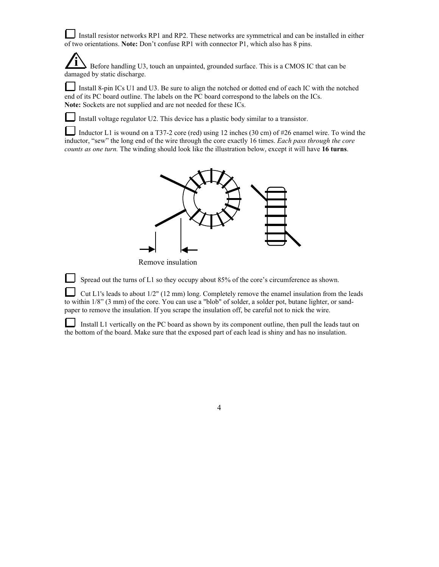Install resistor networks RP1 and RP2. These networks are symmetrical and can be installed in either of two orientations. **Note:** Don't confuse RP1 with connector P1, which also has 8 pins.

**i** Before handling U3, touch an unpainted, grounded surface. This is a CMOS IC that can be damaged by static discharge.

Install 8-pin ICs U1 and U3. Be sure to align the notched or dotted end of each IC with the notched end of its PC board outline. The labels on the PC board correspond to the labels on the ICs. **Note:** Sockets are not supplied and are not needed for these ICs.

Install voltage regulator U2. This device has a plastic body similar to a transistor.

Inductor L1 is wound on a T37-2 core (red) using 12 inches (30 cm) of #26 enamel wire. To wind the inductor, "sew" the long end of the wire through the core exactly 16 times. *Each pass through the core counts as one turn.* The winding should look like the illustration below, except it will have **16 turns**.



Remove insulation

Spread out the turns of L1 so they occupy about 85% of the core's circumference as shown.

Cut L1's leads to about 1/2" (12 mm) long. Completely remove the enamel insulation from the leads to within 1/8" (3 mm) of the core. You can use a "blob" of solder, a solder pot, butane lighter, or sandpaper to remove the insulation. If you scrape the insulation off, be careful not to nick the wire.

 Install L1 vertically on the PC board as shown by its component outline, then pull the leads taut on the bottom of the board. Make sure that the exposed part of each lead is shiny and has no insulation.

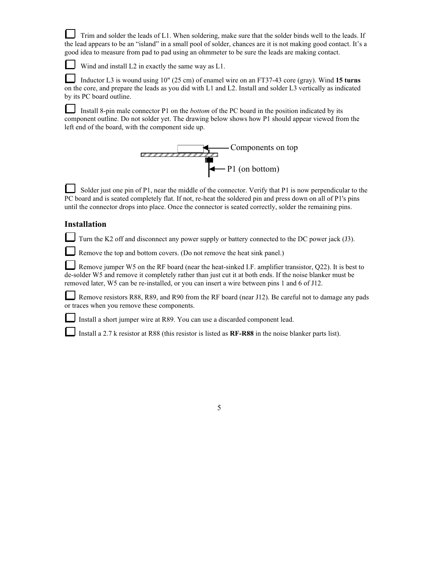Trim and solder the leads of L1. When soldering, make sure that the solder binds well to the leads. If the lead appears to be an "island" in a small pool of solder, chances are it is not making good contact. It's a good idea to measure from pad to pad using an ohmmeter to be sure the leads are making contact.

Wind and install L2 in exactly the same way as L1.

 Inductor L3 is wound using 10" (25 cm) of enamel wire on an FT37-43 core (gray). Wind **15 turns** on the core, and prepare the leads as you did with L1 and L2. Install and solder L3 vertically as indicated by its PC board outline.

 Install 8-pin male connector P1 on the *bottom* of the PC board in the position indicated by its component outline. Do not solder yet. The drawing below shows how P1 should appear viewed from the left end of the board, with the component side up.



Solder just one pin of P1, near the middle of the connector. Verify that P1 is now perpendicular to the PC board and is seated completely flat. If not, re-heat the soldered pin and press down on all of P1's pins until the connector drops into place. Once the connector is seated correctly, solder the remaining pins.

#### **Installation**

Turn the K2 off and disconnect any power supply or battery connected to the DC power jack (J3).

Remove the top and bottom covers. (Do not remove the heat sink panel.)

Remove jumper W5 on the RF board (near the heat-sinked I.F. amplifier transistor, Q22). It is best to de-solder W5 and remove it completely rather than just cut it at both ends. If the noise blanker must be removed later, W5 can be re-installed, or you can insert a wire between pins 1 and 6 of J12.

Remove resistors R88, R89, and R90 from the RF board (near J12). Be careful not to damage any pads or traces when you remove these components.

Install a short jumper wire at R89. You can use a discarded component lead.

Install a 2.7 k resistor at R88 (this resistor is listed as **RF-R88** in the noise blanker parts list).

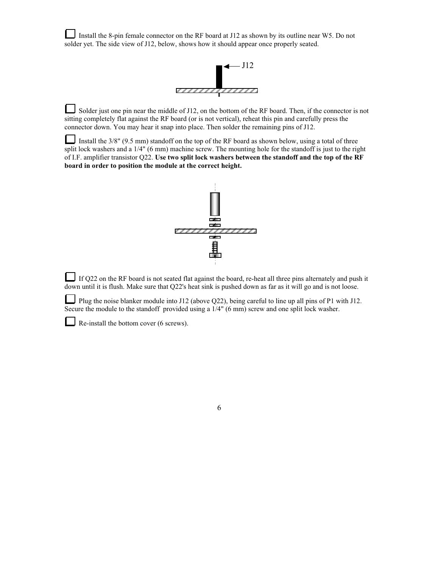Install the 8-pin female connector on the RF board at J12 as shown by its outline near W5. Do not solder yet. The side view of J12, below, shows how it should appear once properly seated.



Solder just one pin near the middle of J12, on the bottom of the RF board. Then, if the connector is not sitting completely flat against the RF board (or is not vertical), reheat this pin and carefully press the connector down. You may hear it snap into place. Then solder the remaining pins of J12.

Install the 3/8" (9.5 mm) standoff on the top of the RF board as shown below, using a total of three split lock washers and a 1/4" (6 mm) machine screw. The mounting hole for the standoff is just to the right of I.F. amplifier transistor Q22. **Use two split lock washers between the standoff and the top of the RF board in order to position the module at the correct height.**



If Q22 on the RF board is not seated flat against the board, re-heat all three pins alternately and push it down until it is flush. Make sure that Q22's heat sink is pushed down as far as it will go and is not loose.

Plug the noise blanker module into J12 (above Q22), being careful to line up all pins of P1 with J12. Secure the module to the standoff provided using a 1/4" (6 mm) screw and one split lock washer.

Re-install the bottom cover (6 screws).

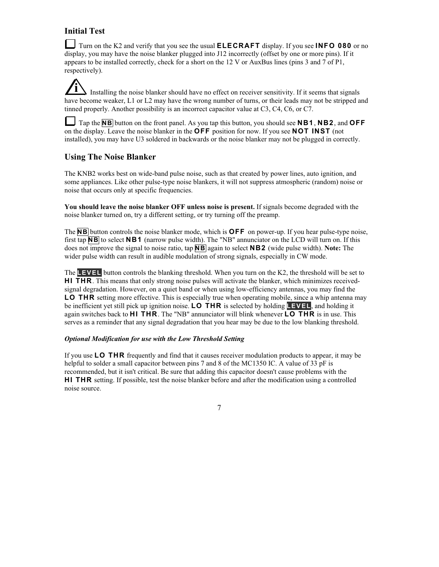## **Initial Test**

Turn on the K2 and verify that you see the usual **ELECRAFT** display. If you see **INFO 080** or no display, you may have the noise blanker plugged into J12 incorrectly (offset by one or more pins). If it appears to be installed correctly, check for a short on the 12 V or AuxBus lines (pins 3 and 7 of P1, respectively).

**i** Installing the noise blanker should have no effect on receiver sensitivity. If it seems that signals Installing the noise blanker should have no effect on receiver sensitivity. If it seems that signals have become weaker, L1 or L2 may have the wrong number of turns, or their leads may not be stripped and tinned properly. Another possibility is an incorrect capacitor value at C3, C4, C6, or C7.

Tap the **N B** button on the front panel. As you tap this button, you should see **N B 1** , **N B 2** , and **O F F**  on the display. Leave the noise blanker in the **OFF** position for now. If you see **NOT INST** (not installed), you may have U3 soldered in backwards or the noise blanker may not be plugged in correctly.

### **Using The Noise Blanker**

The KNB2 works best on wide-band pulse noise, such as that created by power lines, auto ignition, and some appliances. Like other pulse-type noise blankers, it will not suppress atmospheric (random) noise or noise that occurs only at specific frequencies.

**You should leave the noise blanker OFF unless noise is present.** If signals become degraded with the noise blanker turned on, try a different setting, or try turning off the preamp.

The **NB** button controls the noise blanker mode, which is **OFF** on power-up. If you hear pulse-type noise, first tap **N B** to select **N B 1** (narrow pulse width). The "NB" annunciator on the LCD will turn on. If this does not improve the signal to noise ratio, tap **N B** again to select **N B 2** (wide pulse width). **Note:** The wider pulse width can result in audible modulation of strong signals, especially in CW mode.

The **L E V E L** button controls the blanking threshold. When you turn on the K2, the threshold will be set to **HI THR**. This means that only strong noise pulses will activate the blanker, which minimizes receivedsignal degradation. However, on a quiet band or when using low-efficiency antennas, you may find the **LO THR** setting more effective. This is especially true when operating mobile, since a whip antenna may be inefficient yet still pick up ignition noise. **L O T H R** is selected by holding **L E V E L** , and holding it again switches back to **H I T H R** . The "NB" annunciator will blink whenever **L O T H R** is in use. This serves as a reminder that any signal degradation that you hear may be due to the low blanking threshold.

#### *Optional Modification for use with the Low Threshold Setting*

If you use **L O T H R** frequently and find that it causes receiver modulation products to appear, it may be helpful to solder a small capacitor between pins 7 and 8 of the MC1350 IC. A value of 33 pF is recommended, but it isn't critical. Be sure that adding this capacitor doesn't cause problems with the **HI THR** setting. If possible, test the noise blanker before and after the modification using a controlled noise source.

7